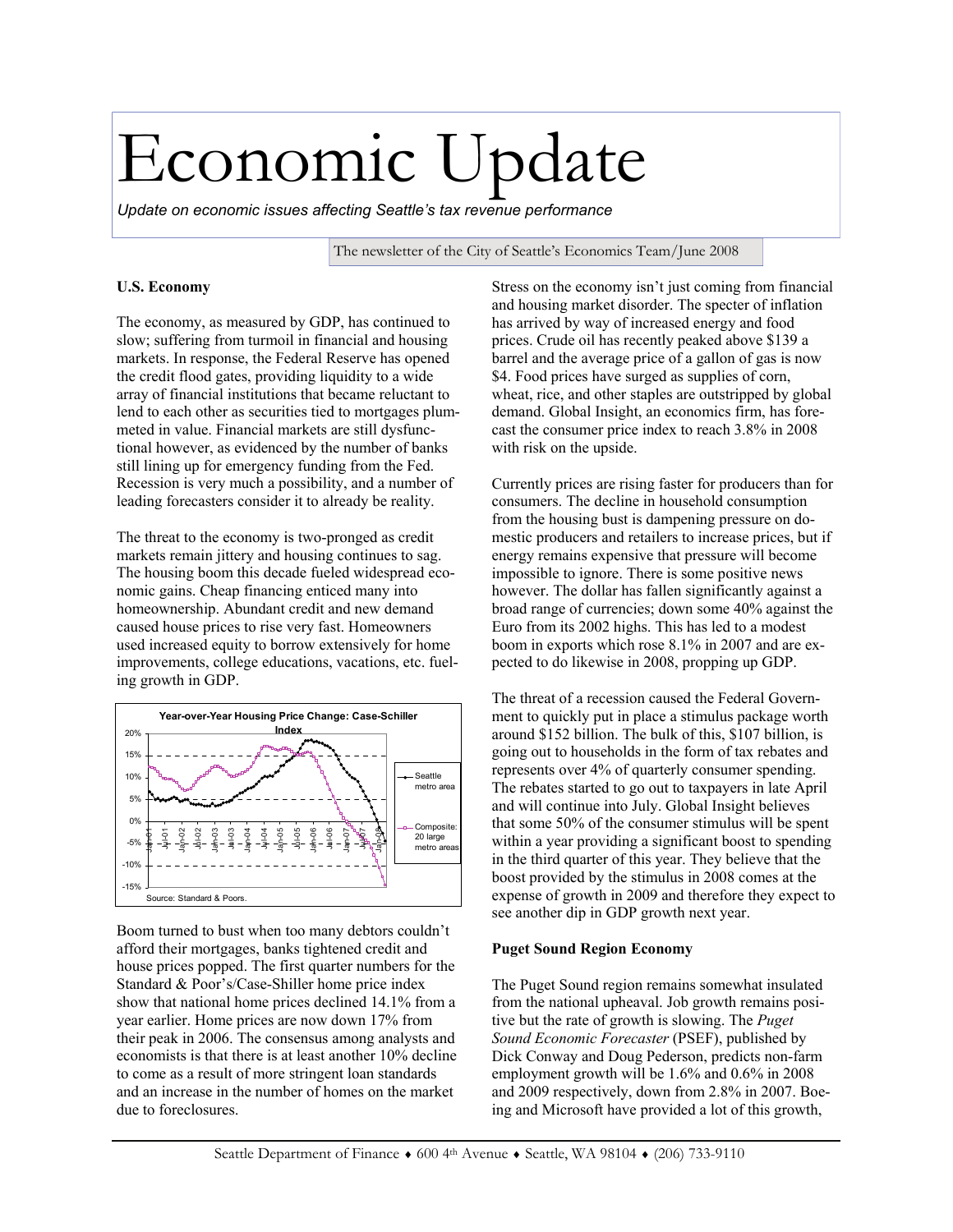## Economic Update

*Update on economic issues affecting Seattle's tax revenue performance* 

The newsletter of the City of Seattle's Economics Team/June 2008

## **U.S. Economy**

The economy, as measured by GDP, has continued to slow; suffering from turmoil in financial and housing markets. In response, the Federal Reserve has opened the credit flood gates, providing liquidity to a wide array of financial institutions that became reluctant to lend to each other as securities tied to mortgages plummeted in value. Financial markets are still dysfunctional however, as evidenced by the number of banks still lining up for emergency funding from the Fed. Recession is very much a possibility, and a number of leading forecasters consider it to already be reality.

The threat to the economy is two-pronged as credit markets remain jittery and housing continues to sag. The housing boom this decade fueled widespread economic gains. Cheap financing enticed many into homeownership. Abundant credit and new demand caused house prices to rise very fast. Homeowners used increased equity to borrow extensively for home improvements, college educations, vacations, etc. fueling growth in GDP.



Boom turned to bust when too many debtors couldn't afford their mortgages, banks tightened credit and house prices popped. The first quarter numbers for the Standard & Poor's/Case-Shiller home price index show that national home prices declined 14.1% from a year earlier. Home prices are now down 17% from their peak in 2006. The consensus among analysts and economists is that there is at least another 10% decline to come as a result of more stringent loan standards and an increase in the number of homes on the market due to foreclosures.

Stress on the economy isn't just coming from financial and housing market disorder. The specter of inflation has arrived by way of increased energy and food prices. Crude oil has recently peaked above \$139 a barrel and the average price of a gallon of gas is now \$4. Food prices have surged as supplies of corn, wheat, rice, and other staples are outstripped by global demand. Global Insight, an economics firm, has forecast the consumer price index to reach 3.8% in 2008 with risk on the upside.

Currently prices are rising faster for producers than for consumers. The decline in household consumption from the housing bust is dampening pressure on domestic producers and retailers to increase prices, but if energy remains expensive that pressure will become impossible to ignore. There is some positive news however. The dollar has fallen significantly against a broad range of currencies; down some 40% against the Euro from its 2002 highs. This has led to a modest boom in exports which rose 8.1% in 2007 and are expected to do likewise in 2008, propping up GDP.

The threat of a recession caused the Federal Government to quickly put in place a stimulus package worth around \$152 billion. The bulk of this, \$107 billion, is going out to households in the form of tax rebates and represents over 4% of quarterly consumer spending. The rebates started to go out to taxpayers in late April and will continue into July. Global Insight believes that some 50% of the consumer stimulus will be spent within a year providing a significant boost to spending in the third quarter of this year. They believe that the boost provided by the stimulus in 2008 comes at the expense of growth in 2009 and therefore they expect to see another dip in GDP growth next year.

## **Puget Sound Region Economy**

The Puget Sound region remains somewhat insulated from the national upheaval. Job growth remains positive but the rate of growth is slowing. The *Puget Sound Economic Forecaster* (PSEF), published by Dick Conway and Doug Pederson, predicts non-farm employment growth will be 1.6% and 0.6% in 2008 and 2009 respectively, down from 2.8% in 2007. Boeing and Microsoft have provided a lot of this growth,